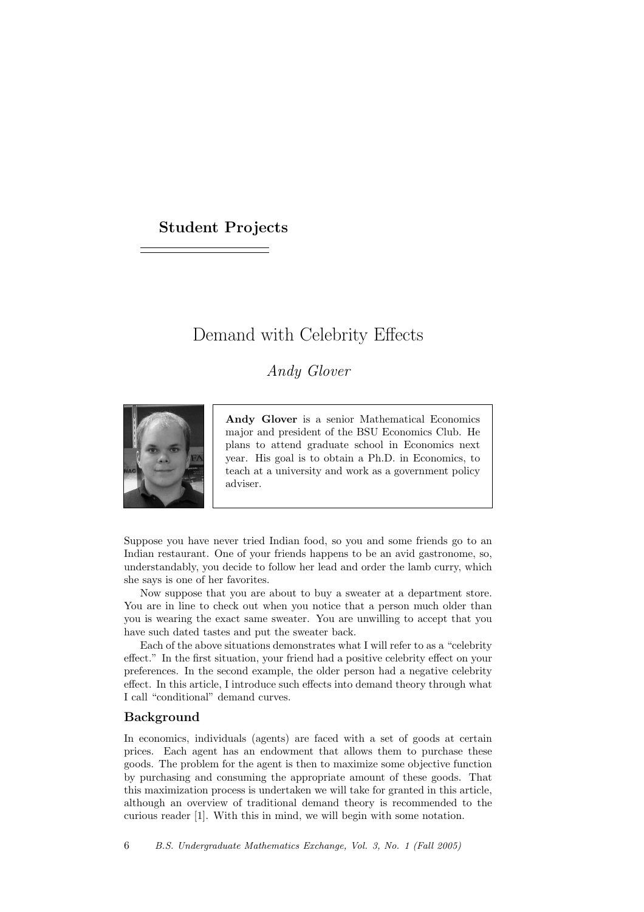## Student Projects

# Demand with Celebrity Effects

# Andy Glover



Andy Glover is a senior Mathematical Economics major and president of the BSU Economics Club. He plans to attend graduate school in Economics next year. His goal is to obtain a Ph.D. in Economics, to teach at a university and work as a government policy adviser.

Suppose you have never tried Indian food, so you and some friends go to an Indian restaurant. One of your friends happens to be an avid gastronome, so, understandably, you decide to follow her lead and order the lamb curry, which she says is one of her favorites.

Now suppose that you are about to buy a sweater at a department store. You are in line to check out when you notice that a person much older than you is wearing the exact same sweater. You are unwilling to accept that you have such dated tastes and put the sweater back.

Each of the above situations demonstrates what I will refer to as a "celebrity effect." In the first situation, your friend had a positive celebrity effect on your preferences. In the second example, the older person had a negative celebrity effect. In this article, I introduce such effects into demand theory through what I call "conditional" demand curves.

#### Background

In economics, individuals (agents) are faced with a set of goods at certain prices. Each agent has an endowment that allows them to purchase these goods. The problem for the agent is then to maximize some objective function by purchasing and consuming the appropriate amount of these goods. That this maximization process is undertaken we will take for granted in this article, although an overview of traditional demand theory is recommended to the curious reader [1]. With this in mind, we will begin with some notation.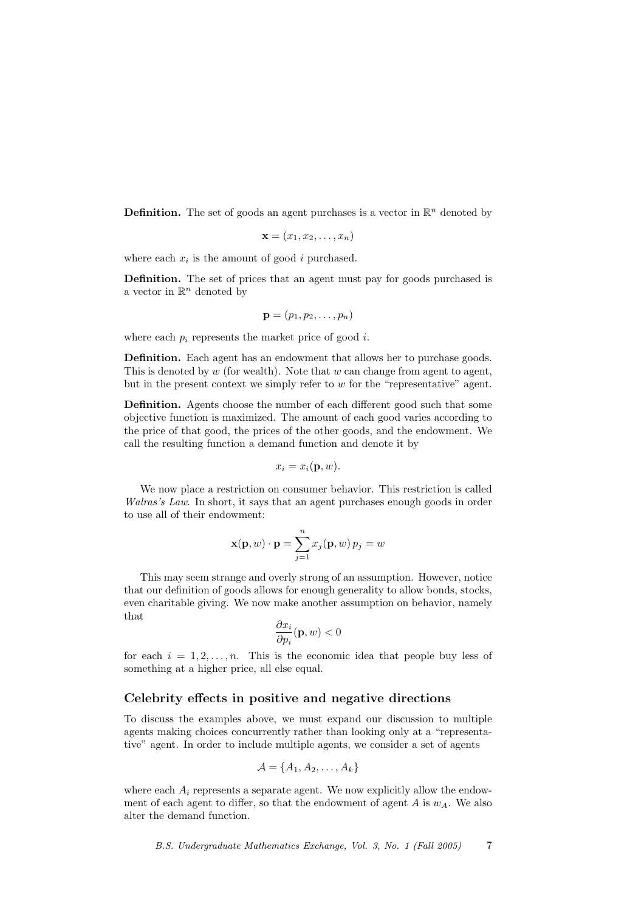**Definition.** The set of goods an agent purchases is a vector in  $\mathbb{R}^n$  denoted by

$$
\mathbf{x} = (x_1, x_2, \dots, x_n)
$$

where each  $x_i$  is the amount of good i purchased.

Definition. The set of prices that an agent must pay for goods purchased is a vector in  $\mathbb{R}^n$  denoted by

$$
\mathbf{p}=(p_1,p_2,\ldots,p_n)
$$

where each  $p_i$  represents the market price of good i.

Definition. Each agent has an endowment that allows her to purchase goods. This is denoted by  $w$  (for wealth). Note that  $w$  can change from agent to agent, but in the present context we simply refer to  $w$  for the "representative" agent.

Definition. Agents choose the number of each different good such that some objective function is maximized. The amount of each good varies according to the price of that good, the prices of the other goods, and the endowment. We call the resulting function a demand function and denote it by

$$
x_i = x_i(\mathbf{p}, w).
$$

We now place a restriction on consumer behavior. This restriction is called Walras's Law. In short, it says that an agent purchases enough goods in order to use all of their endowment:

$$
\mathbf{x}(\mathbf{p}, w) \cdot \mathbf{p} = \sum_{j=1}^{n} x_j(\mathbf{p}, w) p_j = w
$$

This may seem strange and overly strong of an assumption. However, notice that our definition of goods allows for enough generality to allow bonds, stocks, even charitable giving. We now make another assumption on behavior, namely that

$$
\frac{\partial x_i}{\partial p_i}(\mathbf{p}, w) < 0
$$

for each  $i = 1, 2, \ldots, n$ . This is the economic idea that people buy less of something at a higher price, all else equal.

#### Celebrity effects in positive and negative directions

To discuss the examples above, we must expand our discussion to multiple agents making choices concurrently rather than looking only at a "representative" agent. In order to include multiple agents, we consider a set of agents

$$
\mathcal{A} = \{A_1, A_2, \dots, A_k\}
$$

where each  $A_i$  represents a separate agent. We now explicitly allow the endowment of each agent to differ, so that the endowment of agent  $A$  is  $w_A$ . We also alter the demand function.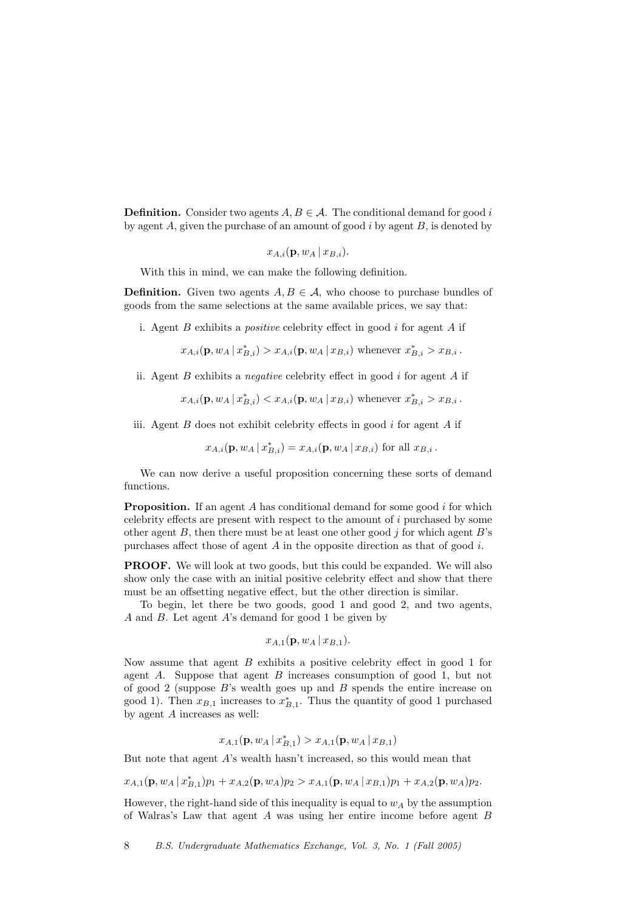**Definition.** Consider two agents  $A, B \in \mathcal{A}$ . The conditional demand for good i by agent  $A$ , given the purchase of an amount of good  $i$  by agent  $B$ , is denoted by

 $x_{A,i}(\mathbf{p}, w_A | x_{B,i}).$ 

With this in mind, we can make the following definition.

**Definition.** Given two agents  $A, B \in \mathcal{A}$ , who choose to purchase bundles of goods from the same selections at the same available prices, we say that:

i. Agent  $B$  exhibits a *positive* celebrity effect in good  $i$  for agent  $A$  if

 $x_{A,i}(\mathbf{p}, w_A | x_{B,i}^*) > x_{A,i}(\mathbf{p}, w_A | x_{B,i})$  whenever  $x_{B,i}^* > x_{B,i}$ .

ii. Agent  $B$  exhibits a *negative* celebrity effect in good  $i$  for agent  $A$  if

$$
x_{A,i}(\mathbf{p}, w_A | x_{B,i}^*) < x_{A,i}(\mathbf{p}, w_A | x_{B,i})
$$
 whenever  $x_{B,i}^* > x_{B,i}$ .

iii. Agent  $B$  does not exhibit celebrity effects in good  $i$  for agent  $A$  if

$$
x_{A,i}(\mathbf{p}, w_A | x_{B,i}^*) = x_{A,i}(\mathbf{p}, w_A | x_{B,i})
$$
 for all  $x_{B,i}$ .

We can now derive a useful proposition concerning these sorts of demand functions.

**Proposition.** If an agent A has conditional demand for some good i for which celebrity effects are present with respect to the amount of i purchased by some other agent  $B$ , then there must be at least one other good j for which agent  $B$ 's purchases affect those of agent A in the opposite direction as that of good  $i$ .

**PROOF.** We will look at two goods, but this could be expanded. We will also show only the case with an initial positive celebrity effect and show that there must be an offsetting negative effect, but the other direction is similar.

To begin, let there be two goods, good 1 and good 2, and two agents,  $A$  and  $B$ . Let agent  $A$ 's demand for good 1 be given by

$$
x_{A,1}(\mathbf{p}, w_A | x_{B,1}).
$$

Now assume that agent  $B$  exhibits a positive celebrity effect in good 1 for agent A. Suppose that agent B increases consumption of good 1, but not of good 2 (suppose  $B$ 's wealth goes up and  $B$  spends the entire increase on good 1). Then  $x_{B,1}$  increases to  $x_{B,1}^*$ . Thus the quantity of good 1 purchased by agent A increases as well:

$$
x_{A,1}(\mathbf{p}, w_A | x_{B,1}^*) > x_{A,1}(\mathbf{p}, w_A | x_{B,1})
$$

But note that agent A's wealth hasn't increased, so this would mean that

 $x_{A,1}(\mathbf{p}, w_A | x_{B,1}^*)p_1 + x_{A,2}(\mathbf{p}, w_A)p_2 > x_{A,1}(\mathbf{p}, w_A | x_{B,1})p_1 + x_{A,2}(\mathbf{p}, w_A)p_2.$ 

However, the right-hand side of this inequality is equal to  $w_A$  by the assumption of Walras's Law that agent A was using her entire income before agent B